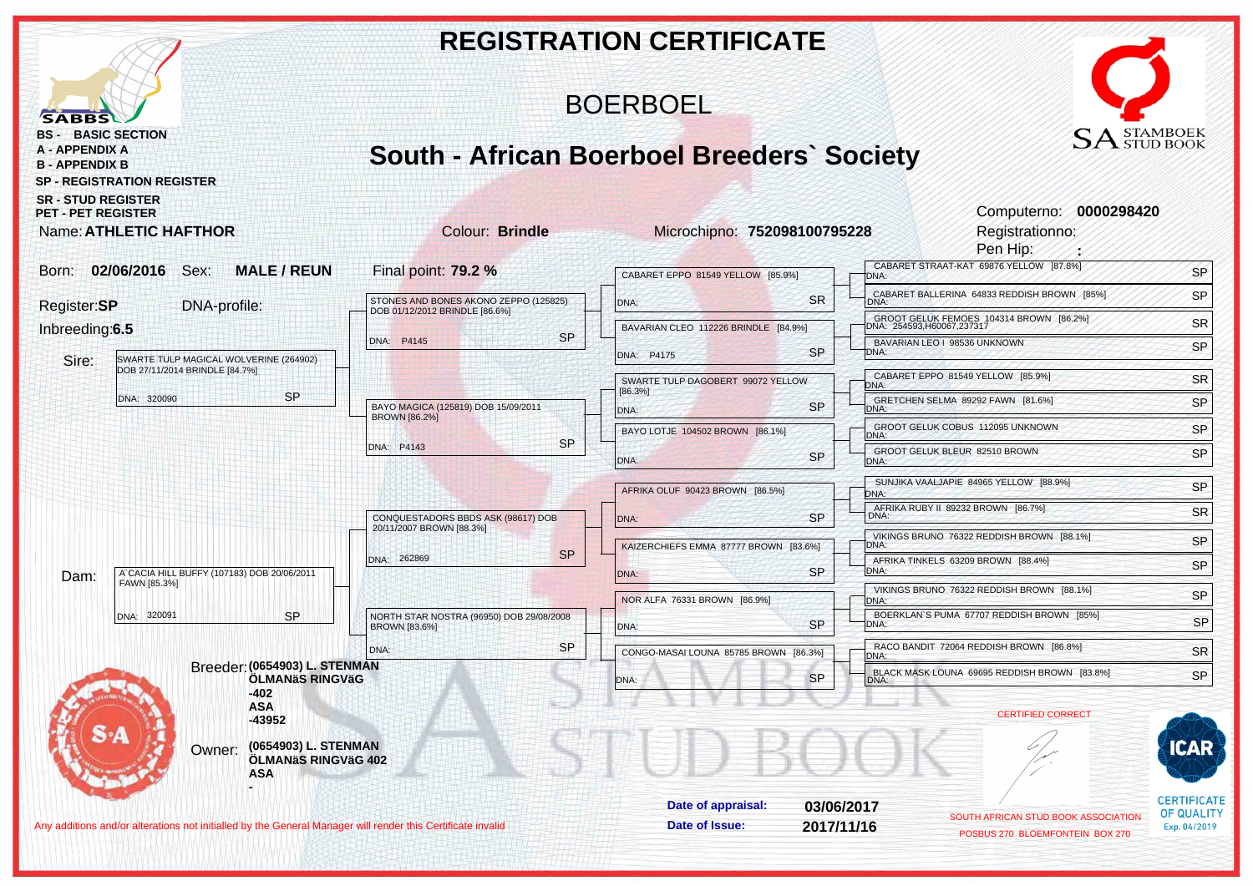|                                                                                                                                |                                                                                                             |                                                                             | <b>REGISTRATION CERTIFICATE</b>              |            |                                                                                                |                                         |
|--------------------------------------------------------------------------------------------------------------------------------|-------------------------------------------------------------------------------------------------------------|-----------------------------------------------------------------------------|----------------------------------------------|------------|------------------------------------------------------------------------------------------------|-----------------------------------------|
| <b>SABBS</b>                                                                                                                   |                                                                                                             | <b>BOERBOEL</b>                                                             |                                              |            |                                                                                                |                                         |
| <b>BS - BASIC SECTION</b><br>A - APPENDIX A<br><b>B - APPENDIX B</b><br><b>SR - STUD REGISTER</b><br><b>PET - PET REGISTER</b> | <b>SP - REGISTRATION REGISTER</b><br><b>Name: ATHLETIC HAFTHOR</b>                                          | <b>South - African Boerboel Breeders' Society</b><br><b>Colour: Brindle</b> | Microchipno: 752098100795228                 |            | $\text{SA}^\text{STAMBOEK}_\text{STUD BOOK}$<br>Computerno: 0000298420<br>Registrationno:      |                                         |
| Born:                                                                                                                          | 02/06/2016 Sex:<br><b>MALE/REUN</b>                                                                         | Final point: 79.2 %                                                         | CABARET EPPO 81549 YELLOW [85.9%]            |            | Pen Hip:<br>CABARET STRAAT-KAT 69876 YELLOW [87.8%]<br>DNA:                                    | SP                                      |
|                                                                                                                                |                                                                                                             | STONES AND BONES AKONO ZEPPO (125825)                                       | DNA:                                         | <b>SR</b>  | CABARET BALLERINA 64833 REDDISH BROWN [85%]<br>DNA:                                            | SP                                      |
| Register:SP<br>DNA-profile:<br>Inbreeding:6.5                                                                                  |                                                                                                             | DOB 01/12/2012 BRINDLE [86.6%]                                              | BAVARIAN CLEO 112226 BRINDLE [84.9%]         |            | GROOT GELUK FEMOES 104314 BROWN [86.2%]<br>DNA: 254593,H60067,237317                           | <b>SR</b>                               |
| Sire:                                                                                                                          | SWARTE TULP MAGICAL WOLVERINE (264902)                                                                      | <b>SP</b><br>DNA: P4145                                                     | DNA: P4175                                   | <b>SP</b>  | BAVARIAN LEO   98536 UNKNOWN<br>DNA:                                                           | SP                                      |
|                                                                                                                                | DOB 27/11/2014 BRINDLE [84.7%]                                                                              |                                                                             | SWARTE TULP DAGOBERT 99072 YELLOW<br>[86.3%] |            | CABARET EPPO 81549 YELLOW [85.9%]<br>DNA:                                                      | <b>SR</b>                               |
|                                                                                                                                | <b>SP</b><br>DNA: 320090                                                                                    | BAYO MAGICA (125819) DOB 15/09/2011<br><b>BROWN [86.2%]</b>                 | DNA:                                         | <b>SP</b>  | GRETCHEN SELMA 89292 FAWN [81.6%]<br>DNA:                                                      | SP                                      |
|                                                                                                                                |                                                                                                             | <b>SP</b><br>DNA: P4143                                                     | BAYO LOTJE 104502 BROWN [86.1%]              |            | GROOT GELUK COBUS 112095 UNKNOWN<br>DNA:                                                       | SP                                      |
|                                                                                                                                |                                                                                                             |                                                                             | DNA:                                         | <b>SP</b>  | GROOT GELUK BLEUR 82510 BROWN<br>DNA:                                                          | SP                                      |
|                                                                                                                                |                                                                                                             |                                                                             | AFRIKA OLUF 90423 BROWN [86.5%]              |            | SUNJIKA VAALJAPIE 84965 YELLOW [88.9%]<br>DNA:                                                 | SP                                      |
|                                                                                                                                |                                                                                                             | CONQUESTADORS BBDS ASK (98617) DOB<br>20/11/2007 BROWN [88.3%]              | DNA:                                         | <b>SP</b>  | AFRIKA RUBY II 89232 BROWN [86.7%]<br>DNA:                                                     | <b>SR</b>                               |
|                                                                                                                                |                                                                                                             | <b>SP</b><br>DNA: 262869                                                    | KAIZERCHIEFS EMMA 87777 BROWN [83.6%]        |            | VIKINGS BRUNO 76322 REDDISH BROWN [88.1%]<br>DNA:<br>AFRIKA TINKELS 63209 BROWN [88.4%]        | SP                                      |
| Dam:                                                                                                                           | A`CACIA HILL BUFFY (107183) DOB 20/06/2011<br>FAWN [85.3%]                                                  |                                                                             | DNA:                                         | <b>SP</b>  | DNA:                                                                                           | SP                                      |
|                                                                                                                                | <b>SP</b><br>DNA: 320091                                                                                    | NORTH STAR NOSTRA (96950) DOB 29/08/2008                                    | NOR ALFA 76331 BROWN [86.9%]                 |            | VIKINGS BRUNO 76322 REDDISH BROWN [88.1%]<br>DNA:<br>BOERKLAN'S PUMA 67707 REDDISH BROWN [85%] | SP                                      |
|                                                                                                                                |                                                                                                             | BROWN [83.6%]                                                               | DNA:                                         | <b>SP</b>  | DNA:                                                                                           | <b>SP</b>                               |
|                                                                                                                                | Breeder: (0654903) L. STENMAN                                                                               | <b>SP</b><br>DNA:                                                           | CONGO-MASAI LOUNA 85785 BROWN [86.3%]        |            | RACO BANDIT 72064 REDDISH BROWN [86.8%]<br>DNA:                                                | <b>SR</b>                               |
|                                                                                                                                | ÖLMANÄS RINGVÄG<br>-402                                                                                     |                                                                             | DNA-                                         | <b>SP</b>  | BLACK MASK LOUNA 69695 REDDISH BROWN [83.8%]                                                   | SP                                      |
|                                                                                                                                | <b>ASA</b><br>$-43952$                                                                                      |                                                                             |                                              |            | <b>CERTIFIED CORRECT</b>                                                                       |                                         |
|                                                                                                                                | (0654903) L. STENMAN<br>Owner:<br>ÖLMANäS RINGVäG 402<br>ASA                                                |                                                                             |                                              |            |                                                                                                |                                         |
|                                                                                                                                |                                                                                                             |                                                                             | Date of appraisal:                           | 03/06/2017 | SOUTH AFRICAN STUD BOOK ASSOCIATION                                                            | <b>CERTIFICATE</b><br><b>OF QUALITY</b> |
|                                                                                                                                | Any additions and/or alterations not initialled by the General Manager will render this Certificate invalid |                                                                             | Date of Issue:                               | 2017/11/16 | POSBUS 270 BLOEMFONTEIN BOX 270                                                                | Exp. 04/2019                            |
|                                                                                                                                |                                                                                                             |                                                                             |                                              |            |                                                                                                |                                         |